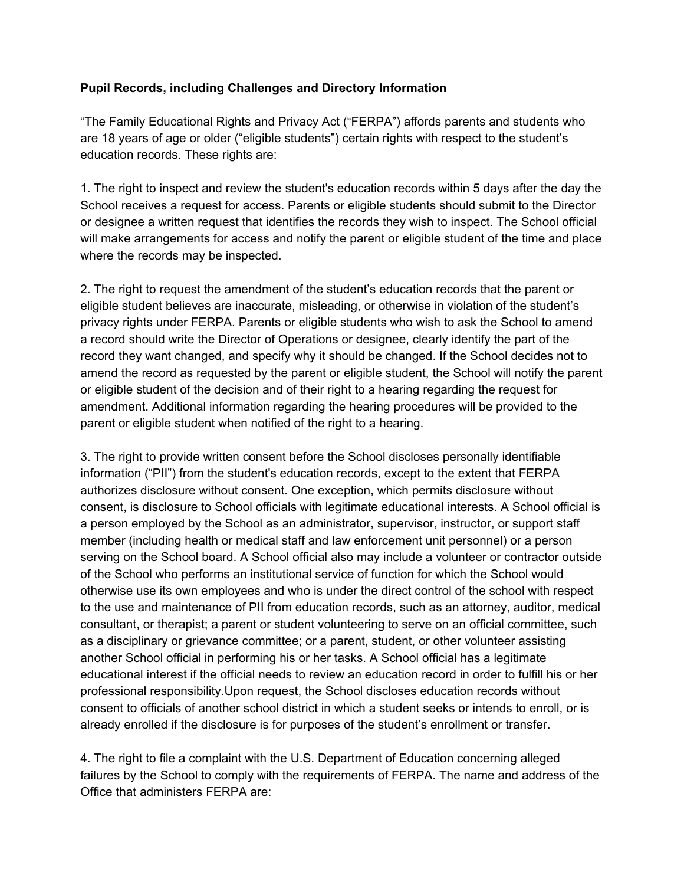## **Pupil Records, including Challenges and Directory Information**

"The Family Educational Rights and Privacy Act ("FERPA") affords parents and students who are 18 years of age or older ("eligible students") certain rights with respect to the student's education records. These rights are:

1. The right to inspect and review the student's education records within 5 days after the day the School receives a request for access. Parents or eligible students should submit to the Director or designee a written request that identifies the records they wish to inspect. The School official will make arrangements for access and notify the parent or eligible student of the time and place where the records may be inspected.

2. The right to request the amendment of the student's education records that the parent or eligible student believes are inaccurate, misleading, or otherwise in violation of the student's privacy rights under FERPA. Parents or eligible students who wish to ask the School to amend a record should write the Director of Operations or designee, clearly identify the part of the record they want changed, and specify why it should be changed. If the School decides not to amend the record as requested by the parent or eligible student, the School will notify the parent or eligible student of the decision and of their right to a hearing regarding the request for amendment. Additional information regarding the hearing procedures will be provided to the parent or eligible student when notified of the right to a hearing.

3. The right to provide written consent before the School discloses personally identifiable information ("PII") from the student's education records, except to the extent that FERPA authorizes disclosure without consent. One exception, which permits disclosure without consent, is disclosure to School officials with legitimate educational interests. A School official is a person employed by the School as an administrator, supervisor, instructor, or support staff member (including health or medical staff and law enforcement unit personnel) or a person serving on the School board. A School official also may include a volunteer or contractor outside of the School who performs an institutional service of function for which the School would otherwise use its own employees and who is under the direct control of the school with respect to the use and maintenance of PII from education records, such as an attorney, auditor, medical consultant, or therapist; a parent or student volunteering to serve on an official committee, such as a disciplinary or grievance committee; or a parent, student, or other volunteer assisting another School official in performing his or her tasks. A School official has a legitimate educational interest if the official needs to review an education record in order to fulfill his or her professional responsibility.Upon request, the School discloses education records without consent to officials of another school district in which a student seeks or intends to enroll, or is already enrolled if the disclosure is for purposes of the student's enrollment or transfer.

4. The right to file a complaint with the U.S. Department of Education concerning alleged failures by the School to comply with the requirements of FERPA. The name and address of the Office that administers FERPA are: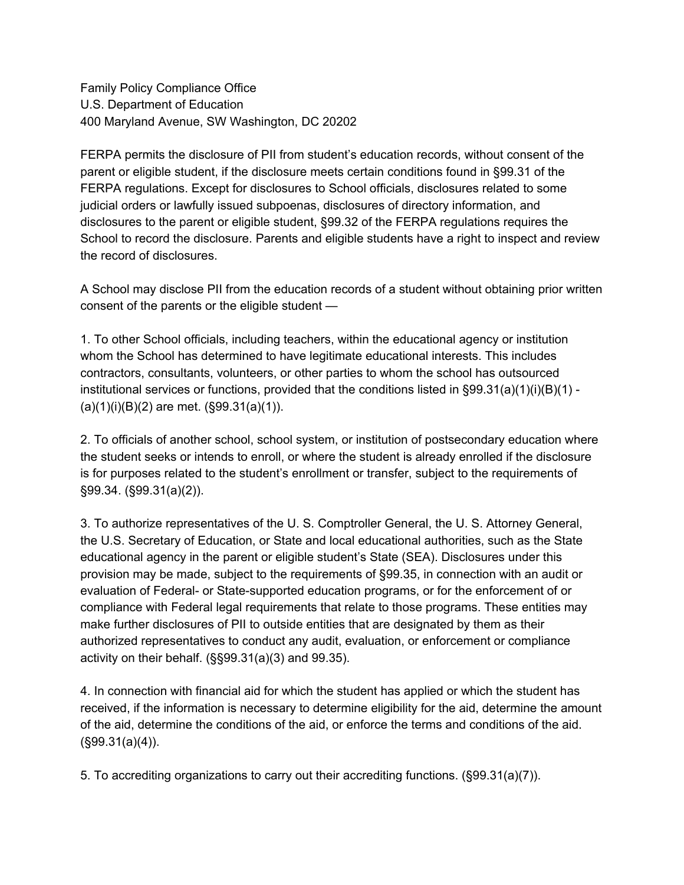Family Policy Compliance Office U.S. Department of Education 400 Maryland Avenue, SW Washington, DC 20202

FERPA permits the disclosure of PII from student's education records, without consent of the parent or eligible student, if the disclosure meets certain conditions found in §99.31 of the FERPA regulations. Except for disclosures to School officials, disclosures related to some judicial orders or lawfully issued subpoenas, disclosures of directory information, and disclosures to the parent or eligible student, §99.32 of the FERPA regulations requires the School to record the disclosure. Parents and eligible students have a right to inspect and review the record of disclosures.

A School may disclose PII from the education records of a student without obtaining prior written consent of the parents or the eligible student —

1. To other School officials, including teachers, within the educational agency or institution whom the School has determined to have legitimate educational interests. This includes contractors, consultants, volunteers, or other parties to whom the school has outsourced institutional services or functions, provided that the conditions listed in  $\S 99.31(a)(1)(i)(B)(1)$  - $(a)(1)(i)(B)(2)$  are met.  $(\$99.31(a)(1))$ .

2. To officials of another school, school system, or institution of postsecondary education where the student seeks or intends to enroll, or where the student is already enrolled if the disclosure is for purposes related to the student's enrollment or transfer, subject to the requirements of §99.34. (§99.31(a)(2)).

3. To authorize representatives of the U. S. Comptroller General, the U. S. Attorney General, the U.S. Secretary of Education, or State and local educational authorities, such as the State educational agency in the parent or eligible student's State (SEA). Disclosures under this provision may be made, subject to the requirements of §99.35, in connection with an audit or evaluation of Federal- or State-supported education programs, or for the enforcement of or compliance with Federal legal requirements that relate to those programs. These entities may make further disclosures of PII to outside entities that are designated by them as their authorized representatives to conduct any audit, evaluation, or enforcement or compliance activity on their behalf. (§§99.31(a)(3) and 99.35).

4. In connection with financial aid for which the student has applied or which the student has received, if the information is necessary to determine eligibility for the aid, determine the amount of the aid, determine the conditions of the aid, or enforce the terms and conditions of the aid.  $(S99.31(a)(4))$ .

5. To accrediting organizations to carry out their accrediting functions. (§99.31(a)(7)).